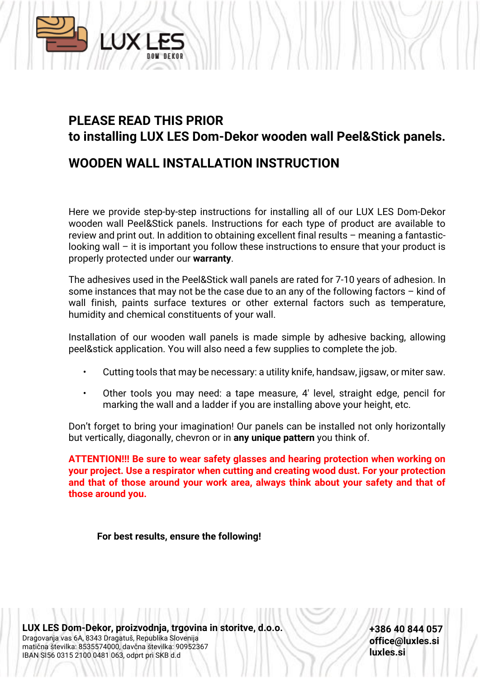

# **PLEASE READ THIS PRIOR to installing LUX LES Dom-Dekor wooden wall Peel&Stick panels.**

### **WOODEN WALL INSTALLATION INSTRUCTION**

Here we provide step-by-step instructions for installing all of our LUX LES Dom-Dekor wooden wall Peel&Stick panels. Instructions for each type of product are available to review and print out. In addition to obtaining excellent final results – meaning a fantasticlooking wall – it is important you follow these instructions to ensure that your product is properly protected under our **warranty**.

The adhesives used in the Peel&Stick wall panels are rated for 7-10 years of adhesion. In some instances that may not be the case due to an any of the following factors – kind of wall finish, paints surface textures or other external factors such as temperature, humidity and chemical constituents of your wall.

Installation of our wooden wall panels is made simple by adhesive backing, allowing peel&stick application. You will also need a few supplies to complete the job.

- Cutting tools that may be necessary: a utility knife, handsaw, jigsaw, or miter saw.
- Other tools you may need: a tape measure, 4′ level, straight edge, pencil for marking the wall and a ladder if you are installing above your height, etc.

Don't forget to bring your imagination! Our panels can be installed not only horizontally but vertically, diagonally, chevron or in **any unique pattern** you think of.

**ATTENTION!!! Be sure to wear safety glasses and hearing protection when working on your project. Use a respirator when cutting and creating wood dust. For your protection and that of those around your work area, always think about your safety and that of those around you.**

**For best results, ensure the following!**

**LUX LES Dom-Dekor, proizvodnja, trgovina in storitve, d.o.o.** Dragovanja vas 6A, 8343 Dragatuš, Republika Slovenija matična številka: 8535574000, davčna številka: 90952367 IBAN SI56 0315 2100 0481 063, odprt pri SKB d.d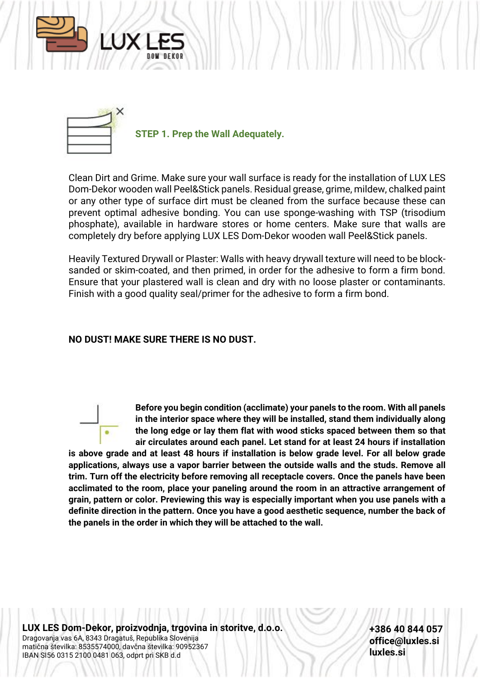



**STEP 1. Prep the Wall Adequately.**

Clean Dirt and Grime. Make sure your wall surface is ready for the installation of LUX LES Dom-Dekor wooden wall Peel&Stick panels. Residual grease, grime, mildew, chalked paint or any other type of surface dirt must be cleaned from the surface because these can prevent optimal adhesive bonding. You can use sponge-washing with TSP (trisodium phosphate), available in hardware stores or home centers. Make sure that walls are completely dry before applying LUX LES Dom-Dekor wooden wall Peel&Stick panels.

Heavily Textured Drywall or Plaster: Walls with heavy drywall texture will need to be blocksanded or skim-coated, and then primed, in order for the adhesive to form a firm bond. Ensure that your plastered wall is clean and dry with no loose plaster or contaminants. Finish with a good quality seal/primer for the adhesive to form a firm bond.

### **NO DUST! MAKE SURE THERE IS NO DUST.**

**Before you begin condition (acclimate) your panels to the room. With all panels in the interior space where they will be installed, stand them individually along the long edge or lay them flat with wood sticks spaced between them so that air circulates around each panel. Let stand for at least 24 hours if installation is above grade and at least 48 hours if installation is below grade level. For all below grade applications, always use a vapor barrier between the outside walls and the studs. Remove all trim. Turn off the electricity before removing all receptacle covers. Once the panels have been acclimated to the room, place your paneling around the room in an attractive arrangement of grain, pattern or color. Previewing this way is especially important when you use panels with a definite direction in the pattern. Once you have a good aesthetic sequence, number the back of the panels in the order in which they will be attached to the wall.**

**LUX LES Dom-Dekor, proizvodnja, trgovina in storitve, d.o.o.** Dragovanja vas 6A, 8343 Dragatuš, Republika Slovenija matična številka: 8535574000, davčna številka: 90952367 IBAN SI56 0315 2100 0481 063, odprt pri SKB d.d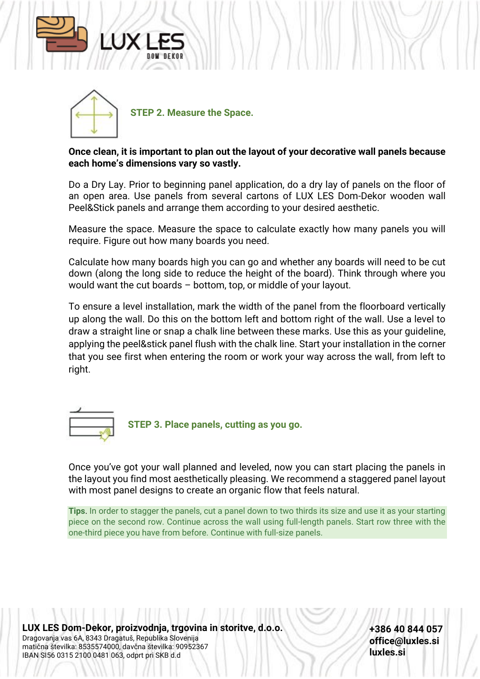



### **Once clean, it is important to plan out the layout of your decorative wall panels because each home's dimensions vary so vastly.**

Do a Dry Lay. Prior to beginning panel application, do a dry lay of panels on the floor of an open area. Use panels from several cartons of LUX LES Dom-Dekor wooden wall Peel&Stick panels and arrange them according to your desired aesthetic.

Measure the space. Measure the space to calculate exactly how many panels you will require. Figure out how many boards you need.

Calculate how many boards high you can go and whether any boards will need to be cut down (along the long side to reduce the height of the board). Think through where you would want the cut boards – bottom, top, or middle of your layout.

To ensure a level installation, mark the width of the panel from the floorboard vertically up along the wall. Do this on the bottom left and bottom right of the wall. Use a level to draw a straight line or snap a chalk line between these marks. Use this as your guideline, applying the peel&stick panel flush with the chalk line. Start your installation in the corner that you see first when entering the room or work your way across the wall, from left to right.



**STEP 3. Place panels, cutting as you go.**

Once you've got your wall planned and leveled, now you can start placing the panels in the layout you find most aesthetically pleasing. We recommend a staggered panel layout with most panel designs to create an organic flow that feels natural.

**Tips**. In order to stagger the panels, cut a panel down to two thirds its size and use it as your starting piece on the second row. Continue across the wall using full-length panels. Start row three with the one-third piece you have from before. Continue with full-size panels.

**LUX LES Dom-Dekor, proizvodnja, trgovina in storitve, d.o.o.** Dragovanja vas 6A, 8343 Dragatuš, Republika Slovenija matična številka: 8535574000, davčna številka: 90952367 IBAN SI56 0315 2100 0481 063, odprt pri SKB d.d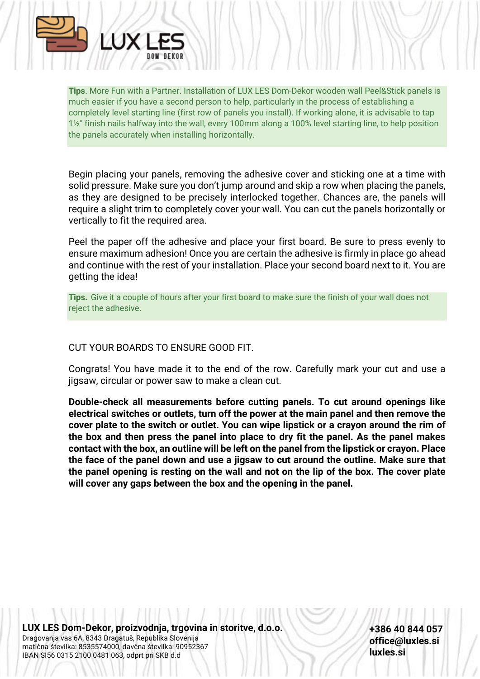

**Tips**. More Fun with a Partner. Installation of LUX LES Dom-Dekor wooden wall Peel&Stick panels is much easier if you have a second person to help, particularly in the process of establishing a completely level starting line (first row of panels you install). If working alone, it is advisable to tap 1½" finish nails halfway into the wall, every 100mm along a 100% level starting line, to help position the panels accurately when installing horizontally.

Begin placing your panels, removing the adhesive cover and sticking one at a time with solid pressure. Make sure you don't jump around and skip a row when placing the panels, as they are designed to be precisely interlocked together. Chances are, the panels will require a slight trim to completely cover your wall. You can cut the panels horizontally or vertically to fit the required area.

Peel the paper off the adhesive and place your first board. Be sure to press evenly to ensure maximum adhesion! Once you are certain the adhesive is firmly in place go ahead and continue with the rest of your installation. Place your second board next to it. You are getting the idea!

**Tips.** Give it a couple of hours after your first board to make sure the finish of your wall does not reject the adhesive.

### CUT YOUR BOARDS TO ENSURE GOOD FIT.

Congrats! You have made it to the end of the row. Carefully mark your cut and use a jigsaw, circular or power saw to make a clean cut.

**Double-check all measurements before cutting panels. To cut around openings like electrical switches or outlets, turn off the power at the main panel and then remove the cover plate to the switch or outlet. You can wipe lipstick or a crayon around the rim of the box and then press the panel into place to dry fit the panel. As the panel makes contact with the box, an outline will be left on the panel from the lipstick or crayon. Place the face of the panel down and use a jigsaw to cut around the outline. Make sure that the panel opening is resting on the wall and not on the lip of the box. The cover plate will cover any gaps between the box and the opening in the panel.**

**LUX LES Dom-Dekor, proizvodnja, trgovina in storitve, d.o.o.** Dragovanja vas 6A, 8343 Dragatuš, Republika Slovenija matična številka: 8535574000, davčna številka: 90952367 IBAN SI56 0315 2100 0481 063, odprt pri SKB d.d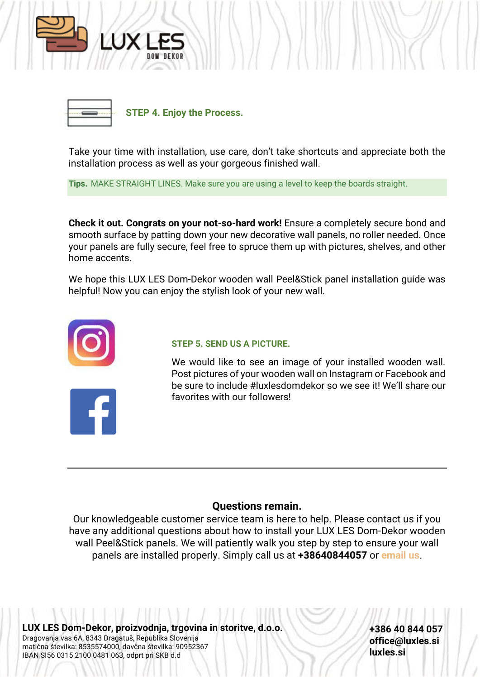



**STEP 4. Enjoy the Process.**

Take your time with installation, use care, don't take shortcuts and appreciate both the installation process as well as your gorgeous finished wall.

**Tips.** MAKE STRAIGHT LINES. Make sure you are using a level to keep the boards straight.

**Check it out. Congrats on your not-so-hard work!** Ensure a completely secure bond and smooth surface by patting down your new decorative wall panels, no roller needed. Once your panels are fully secure, feel free to spruce them up with pictures, shelves, and other home accents.

We hope this LUX LES Dom-Dekor wooden wall Peel&Stick panel installation guide was helpful! Now you can enjoy the stylish look of your new wall.



#### **STEP 5. SEND US A PICTURE.**

We would like to see an image of your installed wooden wall. Post pictures of your wooden wall on Instagram or Facebook and be sure to include #luxlesdomdekor so we see it! We'll share our favorites with our followers!

### **Questions remain.**

Our knowledgeable customer service team is here to help. Please contact us if you have any additional questions about how to install your LUX LES Dom-Dekor wooden wall Peel&Stick panels. We will patiently walk you step by step to ensure your wall panels are installed properly. Simply call us at **+38640844057** or **email us**.

**LUX LES Dom-Dekor, proizvodnja, trgovina in storitve, d.o.o.** Dragovanja vas 6A, 8343 Dragatuš, Republika Slovenija matična številka: 8535574000, davčna številka: 90952367 IBAN SI56 0315 2100 0481 063, odprt pri SKB d.d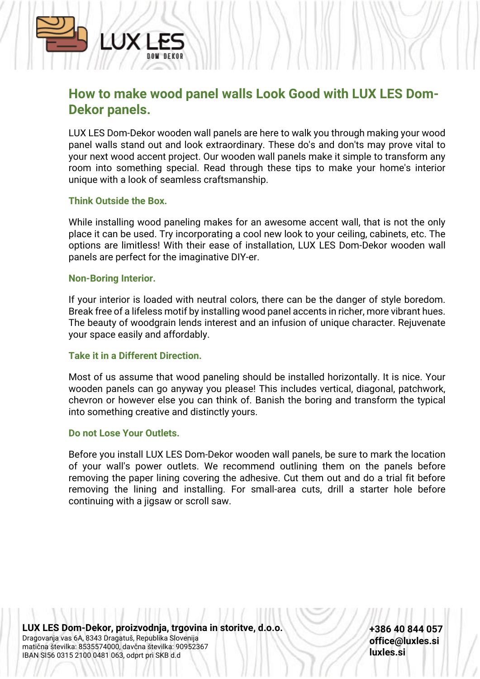# **TIX**

## **How to make wood panel walls Look Good with LUX LES Dom-Dekor panels.**

LUX LES Dom-Dekor wooden wall panels are here to walk you through making your wood panel walls stand out and look extraordinary. These do's and don'ts may prove vital to your next wood accent project. Our wooden wall panels make it simple to transform any room into something special. Read through these tips to make your home's interior unique with a look of seamless craftsmanship.

### **Think Outside the Box.**

While installing wood paneling makes for an awesome accent wall, that is not the only place it can be used. Try incorporating a cool new look to your ceiling, cabinets, etc. The options are limitless! With their ease of installation, LUX LES Dom-Dekor wooden wall panels are perfect for the imaginative DIY-er.

### **Non-Boring Interior.**

If your interior is loaded with neutral colors, there can be the danger of style boredom. Break free of a lifeless motif by installing wood panel accents in richer, more vibrant hues. The beauty of woodgrain lends interest and an infusion of unique character. Rejuvenate your space easily and affordably.

### **Take it in a Different Direction.**

Most of us assume that wood paneling should be installed horizontally. It is nice. Your wooden panels can go anyway you please! This includes vertical, diagonal, patchwork, chevron or however else you can think of. Banish the boring and transform the typical into something creative and distinctly yours.

### **Do not Lose Your Outlets.**

Before you install LUX LES Dom-Dekor wooden wall panels, be sure to mark the location of your wall's power outlets. We recommend outlining them on the panels before removing the paper lining covering the adhesive. Cut them out and do a trial fit before removing the lining and installing. For small-area cuts, drill a starter hole before continuing with a jigsaw or scroll saw.

**LUX LES Dom-Dekor, proizvodnja, trgovina in storitve, d.o.o.** Dragovanja vas 6A, 8343 Dragatuš, Republika Slovenija matična številka: 8535574000, davčna številka: 90952367 IBAN SI56 0315 2100 0481 063, odprt pri SKB d.d